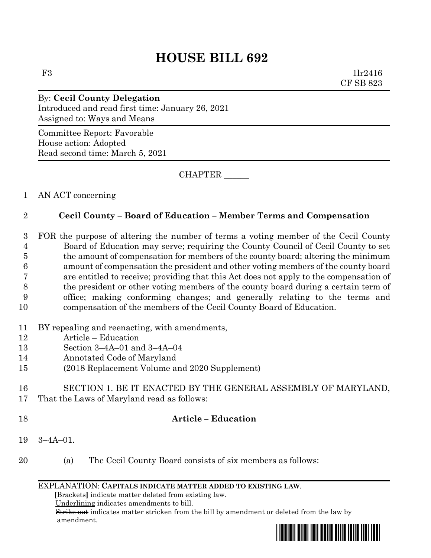# **HOUSE BILL 692**

F3 1lr2416 CF SB 823

By: **Cecil County Delegation** Introduced and read first time: January 26, 2021 Assigned to: Ways and Means

Committee Report: Favorable House action: Adopted Read second time: March 5, 2021

CHAPTER \_\_\_\_\_\_

### 1 AN ACT concerning

### 2 **Cecil County – Board of Education – Member Terms and Compensation**

 FOR the purpose of altering the number of terms a voting member of the Cecil County Board of Education may serve; requiring the County Council of Cecil County to set the amount of compensation for members of the county board; altering the minimum amount of compensation the president and other voting members of the county board are entitled to receive; providing that this Act does not apply to the compensation of the president or other voting members of the county board during a certain term of office; making conforming changes; and generally relating to the terms and compensation of the members of the Cecil County Board of Education.

- 11 BY repealing and reenacting, with amendments,
- 12 Article Education
- 13 Section 3–4A–01 and 3–4A–04
- 14 Annotated Code of Maryland
- 15 (2018 Replacement Volume and 2020 Supplement)

#### 16 SECTION 1. BE IT ENACTED BY THE GENERAL ASSEMBLY OF MARYLAND, 17 That the Laws of Maryland read as follows:

#### 18 **Article – Education**

- 19 3–4A–01.
- 20 (a) The Cecil County Board consists of six members as follows:

#### EXPLANATION: **CAPITALS INDICATE MATTER ADDED TO EXISTING LAW**.

 **[**Brackets**]** indicate matter deleted from existing law.

Underlining indicates amendments to bill.

 Strike out indicates matter stricken from the bill by amendment or deleted from the law by amendment.

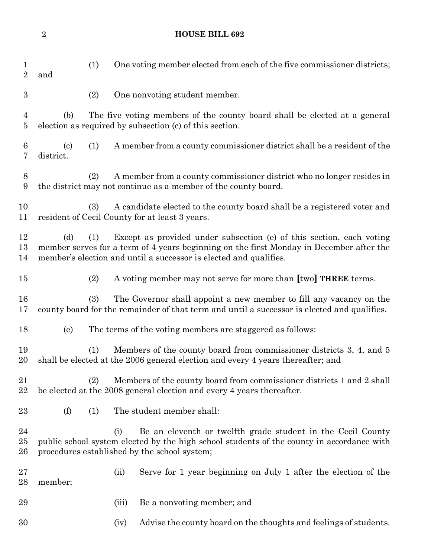## **HOUSE BILL 692**

| $\mathbf 1$<br>$\overline{2}$ | (1)<br>and                                                                                                                                                                                                                                         |                                                                                                                                         | One voting member elected from each of the five commissioner districts; |  |
|-------------------------------|----------------------------------------------------------------------------------------------------------------------------------------------------------------------------------------------------------------------------------------------------|-----------------------------------------------------------------------------------------------------------------------------------------|-------------------------------------------------------------------------|--|
| $\boldsymbol{3}$              | (2)                                                                                                                                                                                                                                                |                                                                                                                                         | One nonvoting student member.                                           |  |
| 4<br>$\overline{5}$           | The five voting members of the county board shall be elected at a general<br>(b)<br>election as required by subsection (c) of this section.                                                                                                        |                                                                                                                                         |                                                                         |  |
| 6<br>7                        | (1)<br>$\left( \text{c} \right)$<br>district.                                                                                                                                                                                                      |                                                                                                                                         | A member from a county commissioner district shall be a resident of the |  |
| 8<br>9                        | (2)                                                                                                                                                                                                                                                | A member from a county commissioner district who no longer resides in<br>the district may not continue as a member of the county board. |                                                                         |  |
| 10<br>11                      | A candidate elected to the county board shall be a registered voter and<br>(3)<br>resident of Cecil County for at least 3 years.                                                                                                                   |                                                                                                                                         |                                                                         |  |
| 12<br>13<br>14                | Except as provided under subsection (e) of this section, each voting<br>(d)<br>(1)<br>member serves for a term of 4 years beginning on the first Monday in December after the<br>member's election and until a successor is elected and qualifies. |                                                                                                                                         |                                                                         |  |
| $15\,$                        | (2)                                                                                                                                                                                                                                                |                                                                                                                                         | A voting member may not serve for more than [two] <b>THREE</b> terms.   |  |
| 16<br>17                      | The Governor shall appoint a new member to fill any vacancy on the<br>(3)<br>county board for the remainder of that term and until a successor is elected and qualifies.                                                                           |                                                                                                                                         |                                                                         |  |
| 18                            | (e)                                                                                                                                                                                                                                                |                                                                                                                                         | The terms of the voting members are staggered as follows:               |  |
| 19<br>20                      | Members of the county board from commissioner districts 3, 4, and 5<br>(1)<br>shall be elected at the 2006 general election and every 4 years thereafter; and                                                                                      |                                                                                                                                         |                                                                         |  |
| 21<br>22                      | Members of the county board from commissioner districts 1 and 2 shall<br>(2)<br>be elected at the 2008 general election and every 4 years thereafter.                                                                                              |                                                                                                                                         |                                                                         |  |
| 23                            | (f)<br>(1)                                                                                                                                                                                                                                         |                                                                                                                                         | The student member shall:                                               |  |
| 24<br>$25\,$<br>26            | Be an eleventh or twelfth grade student in the Cecil County<br>(i)<br>public school system elected by the high school students of the county in accordance with<br>procedures established by the school system;                                    |                                                                                                                                         |                                                                         |  |
| $27\,$<br>28                  | member;                                                                                                                                                                                                                                            | (ii)                                                                                                                                    | Serve for 1 year beginning on July 1 after the election of the          |  |
| 29                            |                                                                                                                                                                                                                                                    | (iii)                                                                                                                                   | Be a nonvoting member; and                                              |  |
| 30                            |                                                                                                                                                                                                                                                    | (iv)                                                                                                                                    | Advise the county board on the thoughts and feelings of students.       |  |